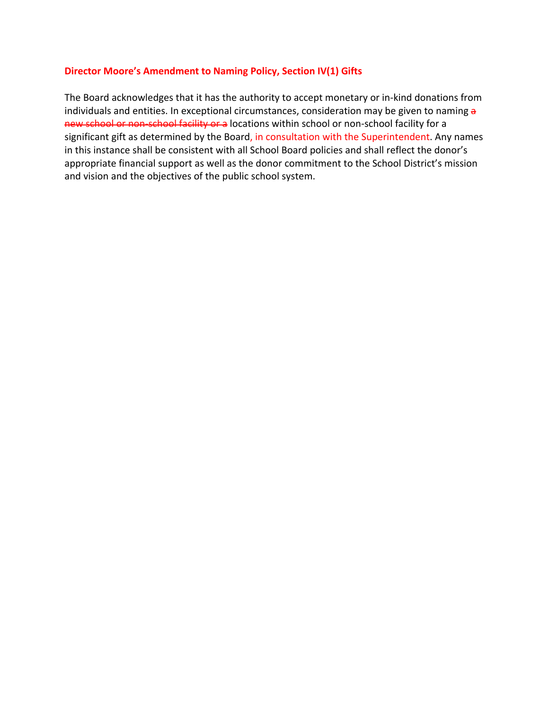## **Director Moore's Amendment to Naming Policy, Section IV(1) Gifts**

The Board acknowledges that it has the authority to accept monetary or in‐kind donations from individuals and entities. In exceptional circumstances, consideration may be given to naming a new school or non-school facility or a locations within school or non-school facility for a significant gift as determined by the Board, in consultation with the Superintendent. Any names in this instance shall be consistent with all School Board policies and shall reflect the donor's appropriate financial support as well as the donor commitment to the School District's mission and vision and the objectives of the public school system.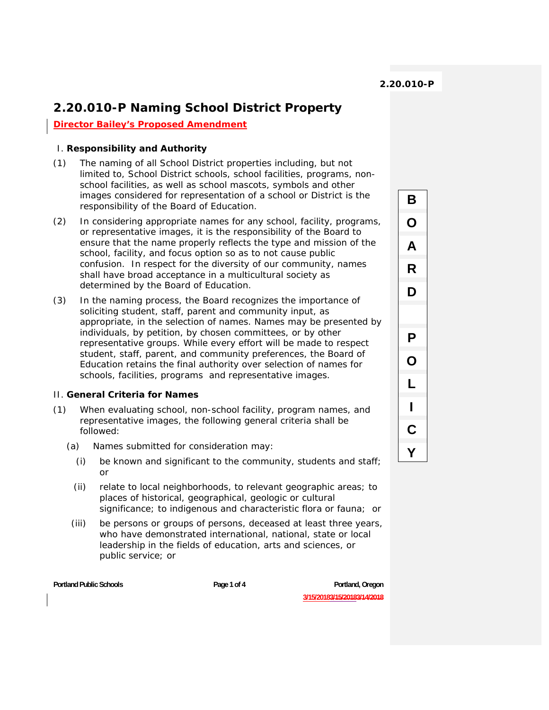B

O

A

R

D

P

O

L

I

C

Y

# **2.20.010-P Naming School District Property**

**Director Bailey's Proposed Amendment**

### I. **Responsibility and Authority**

- (1) The naming of all School District properties including, but not limited to, School District schools, school facilities, programs, nonschool facilities, as well as school mascots, symbols and other images considered for representation of a school or District is the responsibility of the Board of Education.
- (2) In considering appropriate names for any school, facility, programs, or representative images, it is the responsibility of the Board to ensure that the name properly reflects the type and mission of the school, facility, and focus option so as to not cause public confusion. In respect for the diversity of our community, names shall have broad acceptance in a multicultural society as determined by the Board of Education.
- (3) In the naming process, the Board recognizes the importance of soliciting student, staff, parent and community input, as appropriate, in the selection of names. Names may be presented by individuals, by petition, by chosen committees, or by other representative groups. While every effort will be made to respect student, staff, parent, and community preferences, the Board of Education retains the final authority over selection of names for schools, facilities, programs and representative images.

#### II. **General Criteria for Names**

- (1) When evaluating school, non-school facility, program names, and representative images, the following general criteria shall be followed:
	- (a) Names submitted for consideration may:
		- (i) be known and significant to the community, students and staff; or
		- (ii) relate to local neighborhoods, to relevant geographic areas; to places of historical, geographical, geologic or cultural significance; to indigenous and characteristic flora or fauna; or
	- (iii) be persons or groups of persons, deceased at least three years, who have demonstrated international, national, state or local leadership in the fields of education, arts and sciences, or public service; or

Portland Public Schools **Page 1 of 4** Page 1 of 4 Portland, Oregon **Portland**, Oregon

**3/15/20183/15/20183/14/2018**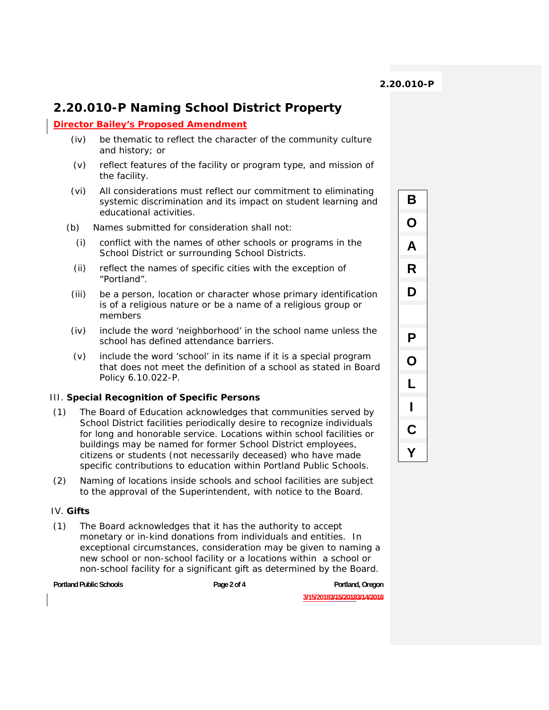B

O

A

R

D

P

O

L

I

 $\mathbf C$ 

Y

## **2.20.010-P Naming School District Property**

#### **Director Bailey's Proposed Amendment**

- (iv) be thematic to reflect the character of the community culture and history; or
- (v) reflect features of the facility or program type, and mission of the facility.
- (vi) All considerations must reflect our commitment to eliminating systemic discrimination and its impact on student learning and educational activities.
- (b) Names submitted for consideration shall not:
	- (i) conflict with the names of other schools or programs in the School District or surrounding School Districts.
	- (ii) reflect the names of specific cities with the exception of "Portland".
- (iii) be a person, location or character whose primary identification is of a religious nature or be a name of a religious group or members
- (iv) include the word 'neighborhood' in the school name unless the school has defined attendance barriers.
- (v) include the word 'school' in its name if it is a special program that does not meet the definition of a school as stated in Board Policy 6.10.022-P.

### III. **Special Recognition of Specific Persons**

- (1) The Board of Education acknowledges that communities served by School District facilities periodically desire to recognize individuals for long and honorable service. Locations within school facilities or buildings may be named for former School District employees, citizens or students (not necessarily deceased) who have made specific contributions to education within Portland Public Schools.
- (2) Naming of locations inside schools and school facilities are subject to the approval of the Superintendent, with notice to the Board.

#### IV. **Gifts**

(1) The Board acknowledges that it has the authority to accept monetary or in-kind donations from individuals and entities. In exceptional circumstances, consideration may be given to naming a new school or non-school facility or a locations within a school or non-school facility for a significant gift as determined by the Board.

Portland Public Schools **Page 2 of 4** Portland, Oregon **Provident Portland, Oregon** 

**3/15/20183/15/20183/14/2018**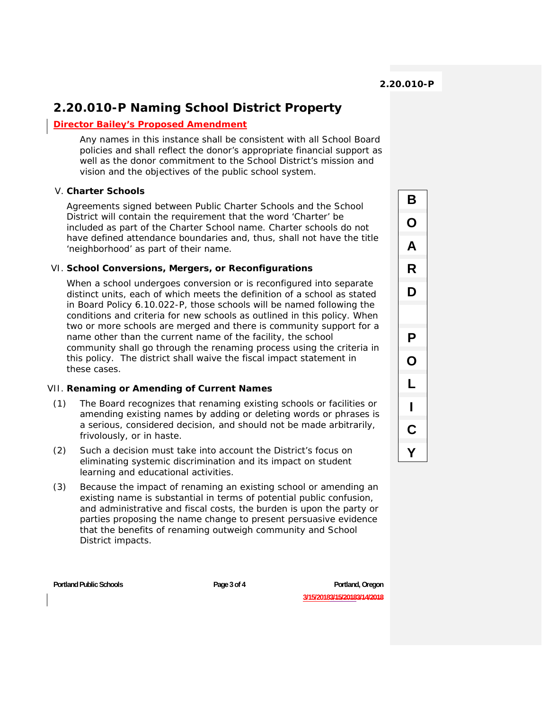B

O

A

R

D

P

O

L

I

C

Y

## **2.20.010-P Naming School District Property**

### **Director Bailey's Proposed Amendment**

Any names in this instance shall be consistent with all School Board policies and shall reflect the donor's appropriate financial support as well as the donor commitment to the School District's mission and vision and the objectives of the public school system.

### V. **Charter Schools**

Agreements signed between Public Charter Schools and the School District will contain the requirement that the word 'Charter' be included as part of the Charter School name. Charter schools do not have defined attendance boundaries and, thus, shall not have the title 'neighborhood' as part of their name.

### VI. **School Conversions, Mergers, or Reconfigurations**

When a school undergoes conversion or is reconfigured into separate distinct units, each of which meets the definition of a school as stated in Board Policy 6.10.022-P, those schools will be named following the conditions and criteria for new schools as outlined in this policy. When two or more schools are merged and there is community support for a name other than the current name of the facility, the school community shall go through the renaming process using the criteria in this policy. The district shall waive the fiscal impact statement in these cases.

### VII. **Renaming or Amending of Current Names**

- (1) The Board recognizes that renaming existing schools or facilities or amending existing names by adding or deleting words or phrases is a serious, considered decision, and should not be made arbitrarily, frivolously, or in haste.
- (2) Such a decision must take into account the District's focus on eliminating systemic discrimination and its impact on student learning and educational activities.
- (3) Because the impact of renaming an existing school or amending an existing name is substantial in terms of potential public confusion, and administrative and fiscal costs, the burden is upon the party or parties proposing the name change to present persuasive evidence that the benefits of renaming outweigh community and School District impacts.

Portland Public Schools **Page 3 of 4** Portland Public Schools **Page 3 of 4** Portland, Oregon **Portland**, Oregon **3/15/20183/15/20183/14/2018**